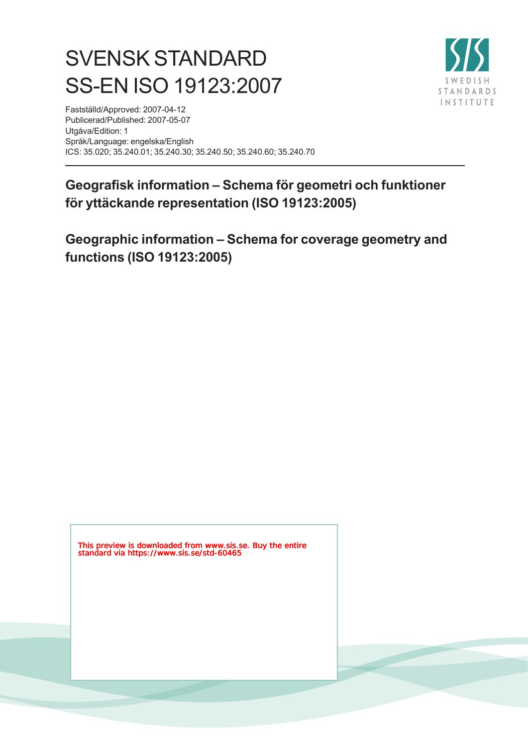# SVENSK STANDARD SS-EN ISO 19123:2007



Fastställd/Approved: 2007-04-12 Publicerad/Published: 2007-05-07 Utgåva/Edition: 1 Språk/Language: engelska/English ICS: 35.020; 35.240.01; 35.240.30; 35.240.50; 35.240.60; 35.240.70

**Geografisk information – Schema för geometri och funktioner för yttäckande representation (ISO 19123:2005)**

**Geographic information – Schema for coverage geometry and functions (ISO 19123:2005)**

This preview is downloaded from www.sis.se. Buy the entire standard via https://www.sis.se/std-60465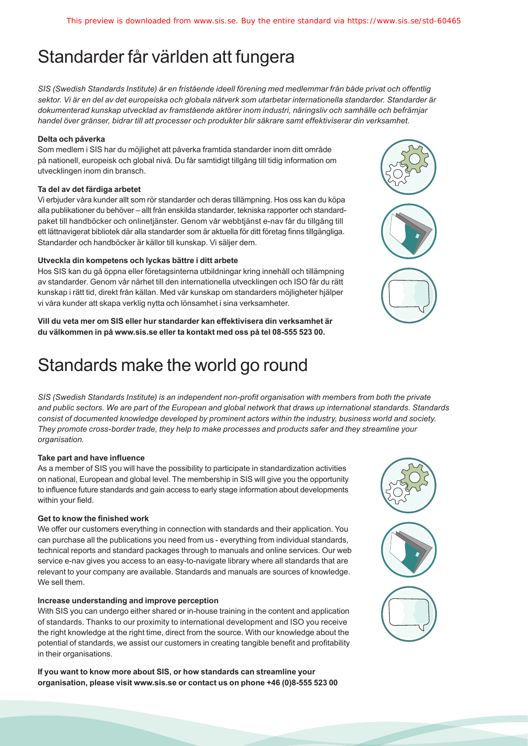# Standarder får världen att fungera

*SIS (Swedish Standards Institute) är en fristående ideell förening med medlemmar från både privat och offentlig sektor. Vi är en del av det europeiska och globala nätverk som utarbetar internationella standarder. Standarder är dokumenterad kunskap utvecklad av framstående aktörer inom industri, näringsliv och samhälle och befrämjar handel över gränser, bidrar till att processer och produkter blir säkrare samt effektiviserar din verksamhet.* 

#### **Delta och påverka**

Som medlem i SIS har du möjlighet att påverka framtida standarder inom ditt område på nationell, europeisk och global nivå. Du får samtidigt tillgång till tidig information om utvecklingen inom din bransch.

### **Ta del av det färdiga arbetet**

Vi erbjuder våra kunder allt som rör standarder och deras tillämpning. Hos oss kan du köpa alla publikationer du behöver – allt från enskilda standarder, tekniska rapporter och standardpaket till handböcker och onlinetjänster. Genom vår webbtjänst e-nav får du tillgång till ett lättnavigerat bibliotek där alla standarder som är aktuella för ditt företag finns tillgängliga. Standarder och handböcker är källor till kunskap. Vi säljer dem.

### **Utveckla din kompetens och lyckas bättre i ditt arbete**

Hos SIS kan du gå öppna eller företagsinterna utbildningar kring innehåll och tillämpning av standarder. Genom vår närhet till den internationella utvecklingen och ISO får du rätt kunskap i rätt tid, direkt från källan. Med vår kunskap om standarders möjligheter hjälper vi våra kunder att skapa verklig nytta och lönsamhet i sina verksamheter.

**Vill du veta mer om SIS eller hur standarder kan effektivisera din verksamhet är du välkommen in på www.sis.se eller ta kontakt med oss på tel 08-555 523 00.**

# Standards make the world go round

*SIS (Swedish Standards Institute) is an independent non-profit organisation with members from both the private and public sectors. We are part of the European and global network that draws up international standards. Standards consist of documented knowledge developed by prominent actors within the industry, business world and society. They promote cross-border trade, they help to make processes and products safer and they streamline your organisation.*

### **Take part and have influence**

As a member of SIS you will have the possibility to participate in standardization activities on national, European and global level. The membership in SIS will give you the opportunity to influence future standards and gain access to early stage information about developments within your field.

#### **Get to know the finished work**

We offer our customers everything in connection with standards and their application. You can purchase all the publications you need from us - everything from individual standards, technical reports and standard packages through to manuals and online services. Our web service e-nav gives you access to an easy-to-navigate library where all standards that are relevant to your company are available. Standards and manuals are sources of knowledge. We sell them.

#### **Increase understanding and improve perception**

With SIS you can undergo either shared or in-house training in the content and application of standards. Thanks to our proximity to international development and ISO you receive the right knowledge at the right time, direct from the source. With our knowledge about the potential of standards, we assist our customers in creating tangible benefit and profitability in their organisations.

**If you want to know more about SIS, or how standards can streamline your organisation, please visit www.sis.se or contact us on phone +46 (0)8-555 523 00**



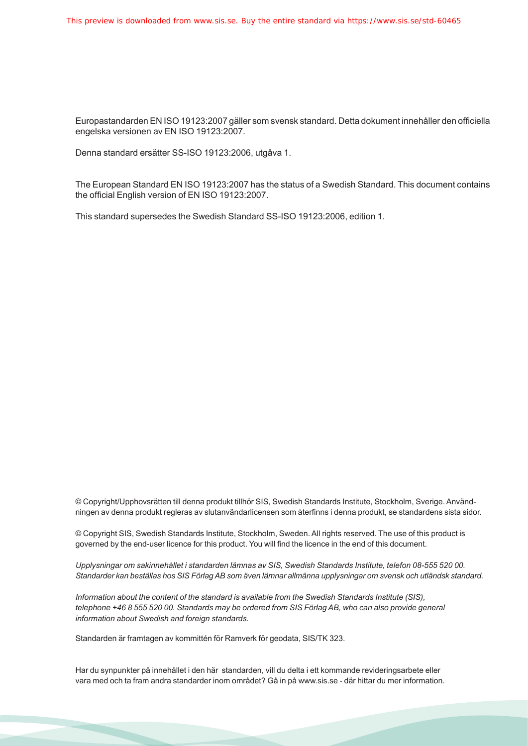Europastandarden EN ISO 19123:2007 gäller som svensk standard. Detta dokument innehåller den officiella engelska versionen av EN ISO 19123:2007.

Denna standard ersätter SS-ISO 19123:2006, utgåva 1.

The European Standard EN ISO 19123:2007 has the status of a Swedish Standard. This document contains the official English version of EN ISO 19123:2007.

This standard supersedes the Swedish Standard SS-ISO 19123:2006, edition 1.

© Copyright/Upphovsrätten till denna produkt tillhör SIS, Swedish Standards Institute, Stockholm, Sverige. Användningen av denna produkt regleras av slutanvändarlicensen som återfinns i denna produkt, se standardens sista sidor.

© Copyright SIS, Swedish Standards Institute, Stockholm, Sweden. All rights reserved. The use of this product is governed by the end-user licence for this product. You will find the licence in the end of this document.

*Upplysningar om sakinnehållet i standarden lämnas av SIS, Swedish Standards Institute, telefon 08-555 520 00. Standarder kan beställas hos SIS Förlag AB som även lämnar allmänna upplysningar om svensk och utländsk standard.*

*Information about the content of the standard is available from the Swedish Standards Institute (SIS), telephone +46 8 555 520 00. Standards may be ordered from SIS Förlag AB, who can also provide general information about Swedish and foreign standards.*

Standarden är framtagen av kommittén för Ramverk för geodata, SIS/TK 323.

Har du synpunkter på innehållet i den här standarden, vill du delta i ett kommande revideringsarbete eller vara med och ta fram andra standarder inom området? Gå in på www.sis.se - där hittar du mer information.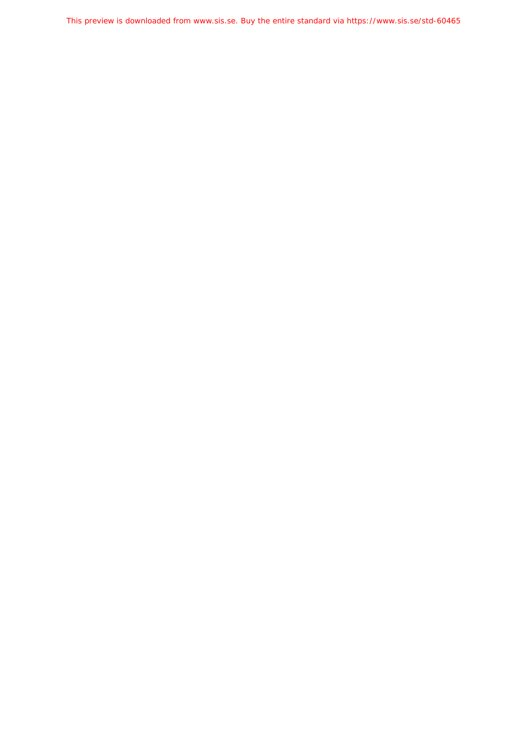This preview is downloaded from www.sis.se. Buy the entire standard via https://www.sis.se/std-60465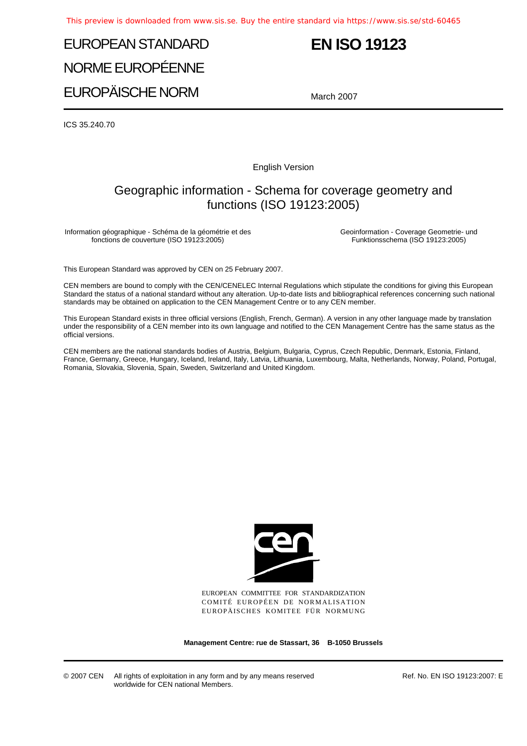# EUROPEAN STANDARD NORME EUROPÉENNE EUROPÄISCHE NORM

# **EN ISO 19123**

March 2007

ICS 35.240.70

English Version

### Geographic information - Schema for coverage geometry and functions (ISO 19123:2005)

Information géographique - Schéma de la géométrie et des fonctions de couverture (ISO 19123:2005)

Geoinformation - Coverage Geometrie- und Funktionsschema (ISO 19123:2005)

This European Standard was approved by CEN on 25 February 2007.

CEN members are bound to comply with the CEN/CENELEC Internal Regulations which stipulate the conditions for giving this European Standard the status of a national standard without any alteration. Up-to-date lists and bibliographical references concerning such national standards may be obtained on application to the CEN Management Centre or to any CEN member.

This European Standard exists in three official versions (English, French, German). A version in any other language made by translation under the responsibility of a CEN member into its own language and notified to the CEN Management Centre has the same status as the official versions.

CEN members are the national standards bodies of Austria, Belgium, Bulgaria, Cyprus, Czech Republic, Denmark, Estonia, Finland, France, Germany, Greece, Hungary, Iceland, Ireland, Italy, Latvia, Lithuania, Luxembourg, Malta, Netherlands, Norway, Poland, Portugal, Romania, Slovakia, Slovenia, Spain, Sweden, Switzerland and United Kingdom.



EUROPEAN COMMITTEE FOR STANDARDIZATION COMITÉ EUROPÉEN DE NORMALISATION EUROPÄISCHES KOMITEE FÜR NORMUNG

**Management Centre: rue de Stassart, 36 B-1050 Brussels**

© 2007 CEN All rights of exploitation in any form and by any means reserved worldwide for CEN national Members.

Ref. No. EN ISO 19123:2007: E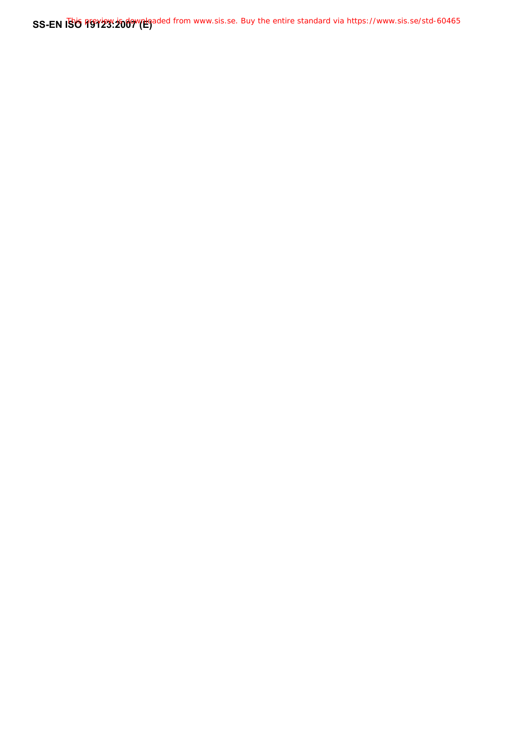SS-EN ISO 19123:2007 (E)<sup>add</sup> wom www.sis.se. Buy the entire standard via https://www.sis.se/std-60465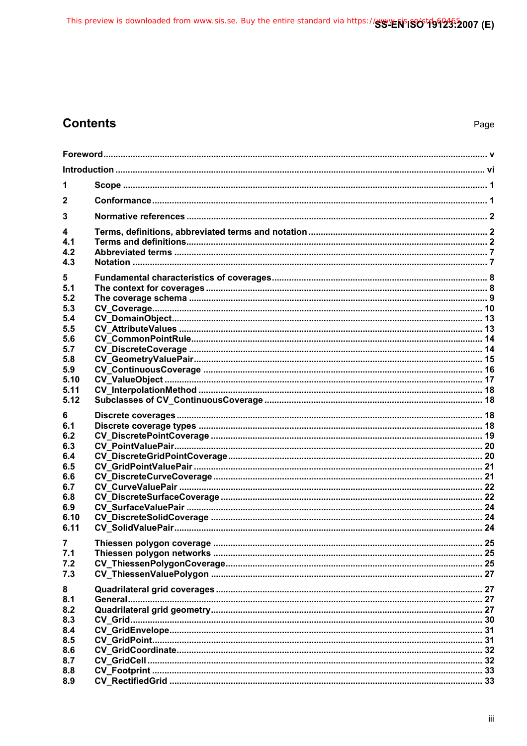## **Contents**

| 1              |         |  |
|----------------|---------|--|
| 2              |         |  |
| 3              |         |  |
| 4              |         |  |
| 4.1            |         |  |
| 4.2            |         |  |
| 4.3            |         |  |
| 5              |         |  |
| 5.1            |         |  |
| 5.2            |         |  |
| 5.3            |         |  |
| 5.4            |         |  |
| 5.5            |         |  |
| 5.6            |         |  |
| 5.7            |         |  |
| 5.8            |         |  |
| 5.9            |         |  |
| 5.10           |         |  |
| 5.11           |         |  |
| 5.12           |         |  |
| 6              |         |  |
| 6.1            |         |  |
| 6.2            |         |  |
| 6.3            |         |  |
| 6.4            |         |  |
| 6.5            |         |  |
| 6.6            |         |  |
| 6.7            |         |  |
| 6.8            |         |  |
| 6.9            |         |  |
| 6.10           |         |  |
| 6.11           |         |  |
| $\overline{7}$ |         |  |
| 7.1            |         |  |
| 7.2            |         |  |
| 7.3            |         |  |
| 8              |         |  |
|                |         |  |
| 8.1            |         |  |
| 8.2            |         |  |
| 8.3            | CV Grid |  |
| 8.4            |         |  |
| 8.5            |         |  |
| 8.6            |         |  |
| 8.7            |         |  |
| 8.8            |         |  |
| 8.9            |         |  |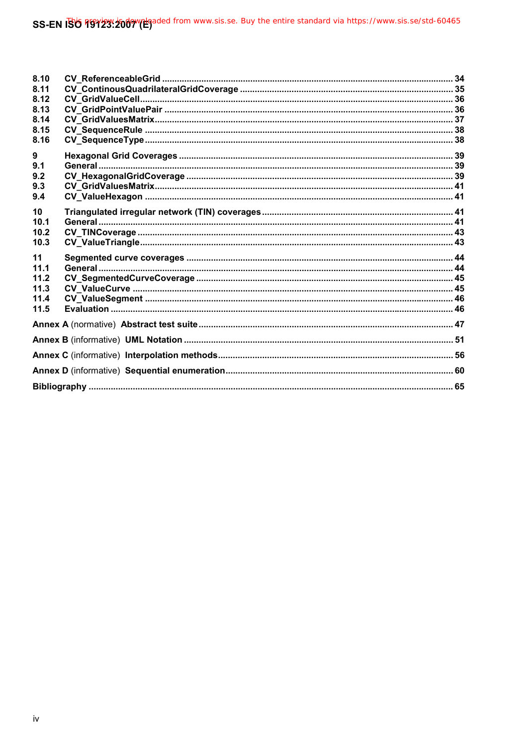| 8.10 |  |  |  |
|------|--|--|--|
| 8.11 |  |  |  |
| 8.12 |  |  |  |
| 8.13 |  |  |  |
| 8.14 |  |  |  |
| 8.15 |  |  |  |
| 8.16 |  |  |  |
| 9    |  |  |  |
| 9.1  |  |  |  |
| 9.2  |  |  |  |
| 9.3  |  |  |  |
| 9.4  |  |  |  |
|      |  |  |  |
| 10   |  |  |  |
| 10.1 |  |  |  |
| 10.2 |  |  |  |
| 10.3 |  |  |  |
| 11   |  |  |  |
| 11.1 |  |  |  |
| 11.2 |  |  |  |
| 11.3 |  |  |  |
| 11.4 |  |  |  |
| 11.5 |  |  |  |
|      |  |  |  |
|      |  |  |  |
|      |  |  |  |
|      |  |  |  |
|      |  |  |  |
|      |  |  |  |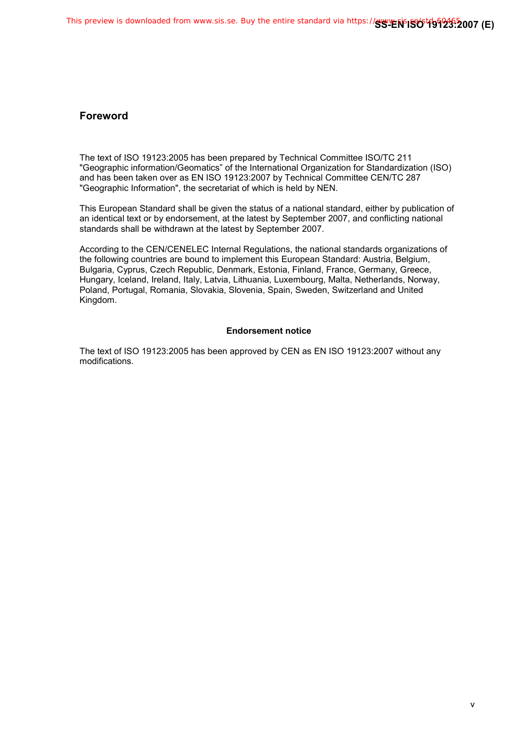### **Foreword**

The text of ISO 19123:2005 has been prepared by Technical Committee ISO/TC 211 "Geographic information/Geomatics" of the International Organization for Standardization (ISO) and has been taken over as EN ISO 19123:2007 by Technical Committee CEN/TC 287 "Geographic Information", the secretariat of which is held by NEN.

This European Standard shall be given the status of a national standard, either by publication of an identical text or by endorsement, at the latest by September 2007, and conflicting national standards shall be withdrawn at the latest by September 2007.

According to the CEN/CENELEC Internal Regulations, the national standards organizations of the following countries are bound to implement this European Standard: Austria, Belgium, Bulgaria, Cyprus, Czech Republic, Denmark, Estonia, Finland, France, Germany, Greece, Hungary, Iceland, Ireland, Italy, Latvia, Lithuania, Luxembourg, Malta, Netherlands, Norway, Poland, Portugal, Romania, Slovakia, Slovenia, Spain, Sweden, Switzerland and United Kingdom.

### **Endorsement notice**

The text of ISO 19123:2005 has been approved by CEN as EN ISO 19123:2007 without any modifications.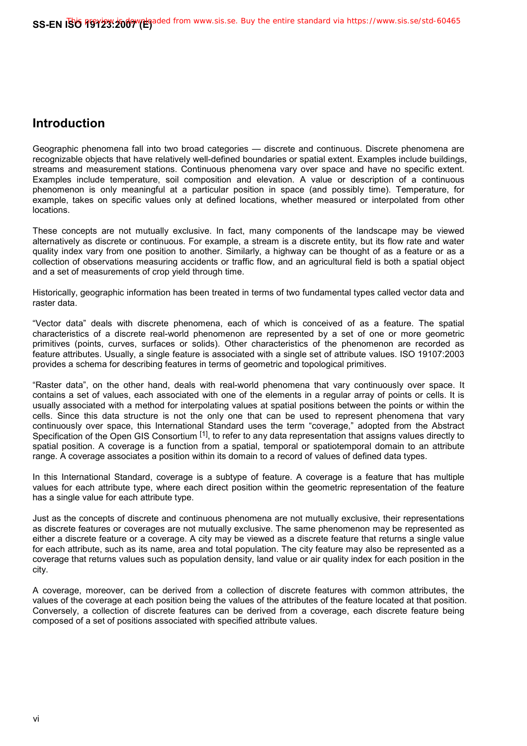### **Introduction**

Geographic phenomena fall into two broad categories — discrete and continuous. Discrete phenomena are recognizable objects that have relatively well-defined boundaries or spatial extent. Examples include buildings, streams and measurement stations. Continuous phenomena vary over space and have no specific extent. Examples include temperature, soil composition and elevation. A value or description of a continuous phenomenon is only meaningful at a particular position in space (and possibly time). Temperature, for example, takes on specific values only at defined locations, whether measured or interpolated from other locations.

These concepts are not mutually exclusive. In fact, many components of the landscape may be viewed alternatively as discrete or continuous. For example, a stream is a discrete entity, but its flow rate and water quality index vary from one position to another. Similarly, a highway can be thought of as a feature or as a collection of observations measuring accidents or traffic flow, and an agricultural field is both a spatial object and a set of measurements of crop yield through time.

Historically, geographic information has been treated in terms of two fundamental types called vector data and raster data.

"Vector data" deals with discrete phenomena, each of which is conceived of as a feature. The spatial characteristics of a discrete real-world phenomenon are represented by a set of one or more geometric primitives (points, curves, surfaces or solids). Other characteristics of the phenomenon are recorded as feature attributes. Usually, a single feature is associated with a single set of attribute values. ISO 19107:2003 provides a schema for describing features in terms of geometric and topological primitives.

"Raster data", on the other hand, deals with real-world phenomena that vary continuously over space. It contains a set of values, each associated with one of the elements in a regular array of points or cells. It is usually associated with a method for interpolating values at spatial positions between the points or within the cells. Since this data structure is not the only one that can be used to represent phenomena that vary continuously over space, this International Standard uses the term "coverage," adopted from the Abstract Specification of the Open GIS Consortium <sup>[1]</sup>, to refer to any data representation that assigns values directly to spatial position. A coverage is a function from a spatial, temporal or spatiotemporal domain to an attribute range. A coverage associates a position within its domain to a record of values of defined data types.

In this International Standard, coverage is a subtype of feature. A coverage is a feature that has multiple values for each attribute type, where each direct position within the geometric representation of the feature has a single value for each attribute type.

Just as the concepts of discrete and continuous phenomena are not mutually exclusive, their representations as discrete features or coverages are not mutually exclusive. The same phenomenon may be represented as either a discrete feature or a coverage. A city may be viewed as a discrete feature that returns a single value for each attribute, such as its name, area and total population. The city feature may also be represented as a coverage that returns values such as population density, land value or air quality index for each position in the city.

A coverage, moreover, can be derived from a collection of discrete features with common attributes, the values of the coverage at each position being the values of the attributes of the feature located at that position. Conversely, a collection of discrete features can be derived from a coverage, each discrete feature being composed of a set of positions associated with specified attribute values.